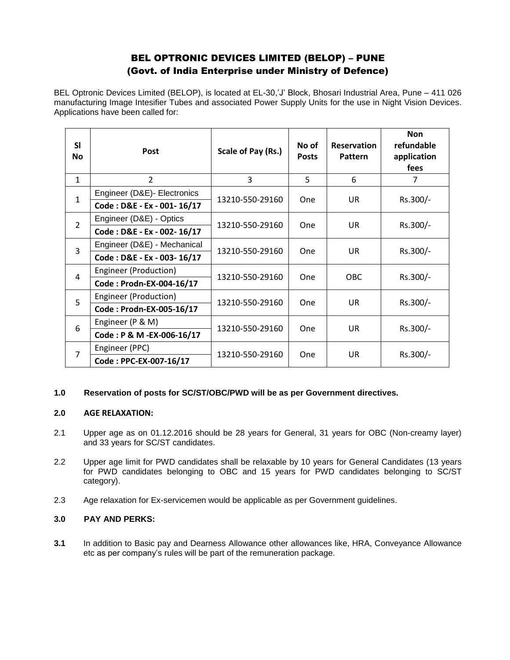# BEL OPTRONIC DEVICES LIMITED (BELOP) – PUNE (Govt. of India Enterprise under Ministry of Defence)

BEL Optronic Devices Limited (BELOP), is located at EL-30,'J' Block, Bhosari Industrial Area, Pune – 411 026 manufacturing Image Intesifier Tubes and associated Power Supply Units for the use in Night Vision Devices. Applications have been called for:

| <b>SI</b><br><b>No</b> | Post                        | Scale of Pay (Rs.) | No of<br><b>Posts</b> | <b>Reservation</b><br>Pattern | <b>Non</b><br>refundable<br>application<br>fees |
|------------------------|-----------------------------|--------------------|-----------------------|-------------------------------|-------------------------------------------------|
| $\mathbf{1}$           | $\overline{2}$              | 3                  | 5                     | 6                             | 7                                               |
| $\mathbf{1}$           | Engineer (D&E)- Electronics | 13210-550-29160    | <b>One</b>            | UR                            | Rs.300/-                                        |
|                        | Code: D&E - Ex - 001-16/17  |                    |                       |                               |                                                 |
| $\overline{2}$         | Engineer (D&E) - Optics     | 13210-550-29160    | One                   | <b>UR</b>                     | Rs.300/-                                        |
|                        | Code: D&E - Ex - 002-16/17  |                    |                       |                               |                                                 |
| 3                      | Engineer (D&E) - Mechanical | 13210-550-29160    | <b>One</b>            | <b>UR</b>                     | Rs.300/-                                        |
|                        | Code: D&E - Ex - 003-16/17  |                    |                       |                               |                                                 |
| $\overline{4}$         | Engineer (Production)       | 13210-550-29160    | One                   | <b>OBC</b>                    | Rs.300/-                                        |
|                        | Code: Prodn-EX-004-16/17    |                    |                       |                               |                                                 |
| 5                      | Engineer (Production)       | 13210-550-29160    | One                   | <b>UR</b>                     | Rs.300/-                                        |
|                        | Code: Prodn-EX-005-16/17    |                    |                       |                               |                                                 |
| 6                      | Engineer (P & M)            | 13210-550-29160    | <b>One</b>            | <b>UR</b>                     | Rs.300/-                                        |
|                        | Code: P & M -EX-006-16/17   |                    |                       |                               |                                                 |
| $\overline{7}$         | Engineer (PPC)              | 13210-550-29160    | <b>One</b>            | UR                            | Rs.300/-                                        |
|                        | Code: PPC-EX-007-16/17      |                    |                       |                               |                                                 |

# **1.0 Reservation of posts for SC/ST/OBC/PWD will be as per Government directives.**

### **2.0 AGE RELAXATION:**

- 2.1 Upper age as on 01.12.2016 should be 28 years for General, 31 years for OBC (Non-creamy layer) and 33 years for SC/ST candidates.
- 2.2 Upper age limit for PWD candidates shall be relaxable by 10 years for General Candidates (13 years for PWD candidates belonging to OBC and 15 years for PWD candidates belonging to SC/ST category).
- 2.3 Age relaxation for Ex-servicemen would be applicable as per Government guidelines.

# **3.0 PAY AND PERKS:**

**3.1** In addition to Basic pay and Dearness Allowance other allowances like, HRA, Conveyance Allowance etc as per company's rules will be part of the remuneration package.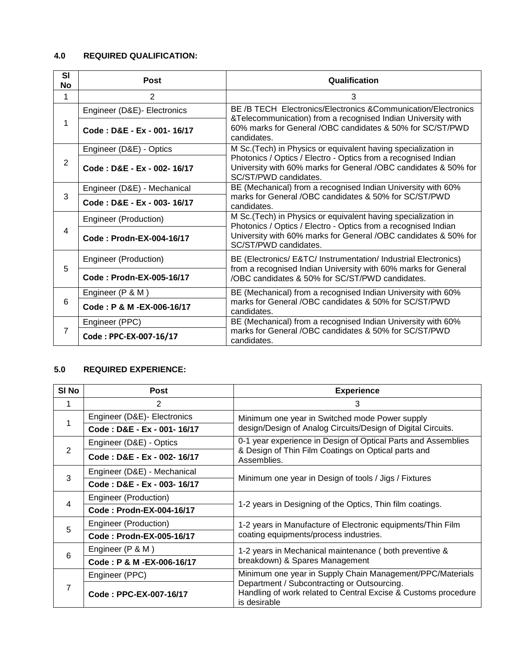# **4.0 REQUIRED QUALIFICATION:**

| <b>SI</b><br>No | <b>Post</b>                 | Qualification                                                                                                                                                                                                                |  |
|-----------------|-----------------------------|------------------------------------------------------------------------------------------------------------------------------------------------------------------------------------------------------------------------------|--|
| 1               | $\overline{2}$              | 3                                                                                                                                                                                                                            |  |
| 1               | Engineer (D&E)- Electronics | BE /B TECH Electronics/Electronics & Communication/Electronics                                                                                                                                                               |  |
|                 | Code: D&E - Ex - 001-16/17  | &Telecommunication) from a recognised Indian University with<br>60% marks for General /OBC candidates & 50% for SC/ST/PWD<br>candidates.                                                                                     |  |
| $\overline{2}$  | Engineer (D&E) - Optics     | M Sc. (Tech) in Physics or equivalent having specialization in<br>Photonics / Optics / Electro - Optics from a recognised Indian<br>University with 60% marks for General /OBC candidates & 50% for<br>SC/ST/PWD candidates. |  |
|                 | Code: D&E - Ex - 002-16/17  |                                                                                                                                                                                                                              |  |
| 3               | Engineer (D&E) - Mechanical | BE (Mechanical) from a recognised Indian University with 60%<br>marks for General /OBC candidates & 50% for SC/ST/PWD<br>candidates.                                                                                         |  |
|                 | Code: D&E - Ex - 003-16/17  |                                                                                                                                                                                                                              |  |
| 4               | Engineer (Production)       | M Sc.(Tech) in Physics or equivalent having specialization in                                                                                                                                                                |  |
|                 | Code: Prodn-EX-004-16/17    | Photonics / Optics / Electro - Optics from a recognised Indian<br>University with 60% marks for General /OBC candidates & 50% for<br>SC/ST/PWD candidates.                                                                   |  |
| 5               | Engineer (Production)       | BE (Electronics/ E&TC/ Instrumentation/ Industrial Electronics)<br>from a recognised Indian University with 60% marks for General<br>/OBC candidates & 50% for SC/ST/PWD candidates.                                         |  |
|                 | Code: Prodn-EX-005-16/17    |                                                                                                                                                                                                                              |  |
| 6               | Engineer (P & M)            | BE (Mechanical) from a recognised Indian University with 60%                                                                                                                                                                 |  |
|                 | Code: P & M - EX-006-16/17  | marks for General /OBC candidates & 50% for SC/ST/PWD<br>candidates.                                                                                                                                                         |  |
| 7               | Engineer (PPC)              | BE (Mechanical) from a recognised Indian University with 60%                                                                                                                                                                 |  |
|                 | Code: PPC-EX-007-16/17      | marks for General /OBC candidates & 50% for SC/ST/PWD<br>candidates.                                                                                                                                                         |  |

# **5.0 REQUIRED EXPERIENCE:**

| SI <sub>No</sub> | <b>Post</b>                 | <b>Experience</b>                                                                                                                   |  |
|------------------|-----------------------------|-------------------------------------------------------------------------------------------------------------------------------------|--|
| 1                | 2                           | 3                                                                                                                                   |  |
|                  | Engineer (D&E)- Electronics | Minimum one year in Switched mode Power supply                                                                                      |  |
|                  | Code: D&E - Ex - 001-16/17  | design/Design of Analog Circuits/Design of Digital Circuits.                                                                        |  |
| 2                | Engineer (D&E) - Optics     | 0-1 year experience in Design of Optical Parts and Assemblies<br>& Design of Thin Film Coatings on Optical parts and<br>Assemblies. |  |
|                  | Code: D&E - Ex - 002-16/17  |                                                                                                                                     |  |
| 3                | Engineer (D&E) - Mechanical | Minimum one year in Design of tools / Jigs / Fixtures                                                                               |  |
|                  | Code: D&E - Ex - 003-16/17  |                                                                                                                                     |  |
| $\overline{4}$   | Engineer (Production)       | 1-2 years in Designing of the Optics, Thin film coatings.                                                                           |  |
|                  | Code: Prodn-EX-004-16/17    |                                                                                                                                     |  |
| 5                | Engineer (Production)       | 1-2 years in Manufacture of Electronic equipments/Thin Film<br>coating equipments/process industries.                               |  |
|                  | Code: Prodn-EX-005-16/17    |                                                                                                                                     |  |
| 6                | Engineer (P & M)            | 1-2 years in Mechanical maintenance (both preventive &<br>breakdown) & Spares Management                                            |  |
|                  | Code: P & M - EX-006-16/17  |                                                                                                                                     |  |
| 7                | Engineer (PPC)              | Minimum one year in Supply Chain Management/PPC/Materials                                                                           |  |
|                  | Code: PPC-EX-007-16/17      | Department / Subcontracting or Outsourcing.<br>Handling of work related to Central Excise & Customs procedure<br>is desirable       |  |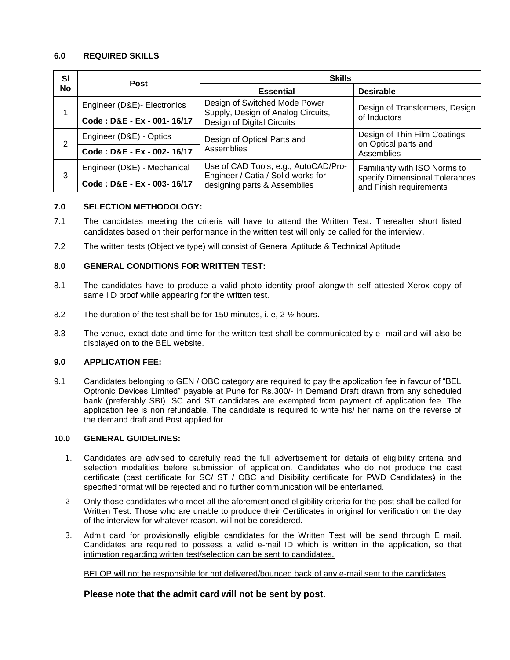## **6.0 REQUIRED SKILLS**

| <b>SI</b><br><b>No</b> | <b>Post</b>                 | <b>Skills</b>                                                              |                                                                                            |  |
|------------------------|-----------------------------|----------------------------------------------------------------------------|--------------------------------------------------------------------------------------------|--|
|                        |                             | <b>Essential</b>                                                           | <b>Desirable</b>                                                                           |  |
|                        | Engineer (D&E)- Electronics | Design of Switched Mode Power<br>Supply, Design of Analog Circuits,        | Design of Transformers, Design<br>of Inductors                                             |  |
|                        | Code: D&E - Ex - 001-16/17  | Design of Digital Circuits                                                 |                                                                                            |  |
| 2                      | Engineer (D&E) - Optics     | Design of Optical Parts and                                                | Design of Thin Film Coatings<br>on Optical parts and<br>Assemblies                         |  |
|                        | Code: D&E - Ex - 002-16/17  | Assemblies                                                                 |                                                                                            |  |
| 3                      | Engineer (D&E) - Mechanical | Use of CAD Tools, e.g., AutoCAD/Pro-<br>Engineer / Catia / Solid works for | Familiarity with ISO Norms to<br>specify Dimensional Tolerances<br>and Finish requirements |  |
|                        | Code: D&E - Ex - 003-16/17  | designing parts & Assemblies                                               |                                                                                            |  |

#### **7.0 SELECTION METHODOLOGY:**

- 7.1 The candidates meeting the criteria will have to attend the Written Test. Thereafter short listed candidates based on their performance in the written test will only be called for the interview.
- 7.2 The written tests (Objective type) will consist of General Aptitude & Technical Aptitude

### **8.0 GENERAL CONDITIONS FOR WRITTEN TEST:**

- 8.1 The candidates have to produce a valid photo identity proof alongwith self attested Xerox copy of same I D proof while appearing for the written test.
- 8.2 The duration of the test shall be for 150 minutes, i. e, 2 ½ hours.
- 8.3 The venue, exact date and time for the written test shall be communicated by e- mail and will also be displayed on to the BEL website.

### **9.0 APPLICATION FEE:**

9.1 Candidates belonging to GEN / OBC category are required to pay the application fee in favour of "BEL Optronic Devices Limited" payable at Pune for Rs.300/- in Demand Draft drawn from any scheduled bank (preferably SBI). SC and ST candidates are exempted from payment of application fee. The application fee is non refundable. The candidate is required to write his/ her name on the reverse of the demand draft and Post applied for.

#### **10.0 GENERAL GUIDELINES:**

- 1. Candidates are advised to carefully read the full advertisement for details of eligibility criteria and selection modalities before submission of application. Candidates who do not produce the cast certificate (cast certificate for SC/ ST / OBC and Disibility certificate for PWD Candidates) in the specified format will be rejected and no further communication will be entertained.
- 2 Only those candidates who meet all the aforementioned eligibility criteria for the post shall be called for Written Test. Those who are unable to produce their Certificates in original for verification on the day of the interview for whatever reason, will not be considered.
- 3. Admit card for provisionally eligible candidates for the Written Test will be send through E mail. Candidates are required to possess a valid e-mail ID which is written in the application, so that intimation regarding written test/selection can be sent to candidates.

BELOP will not be responsible for not delivered/bounced back of any e-mail sent to the candidates.

**Please note that the admit card will not be sent by post**.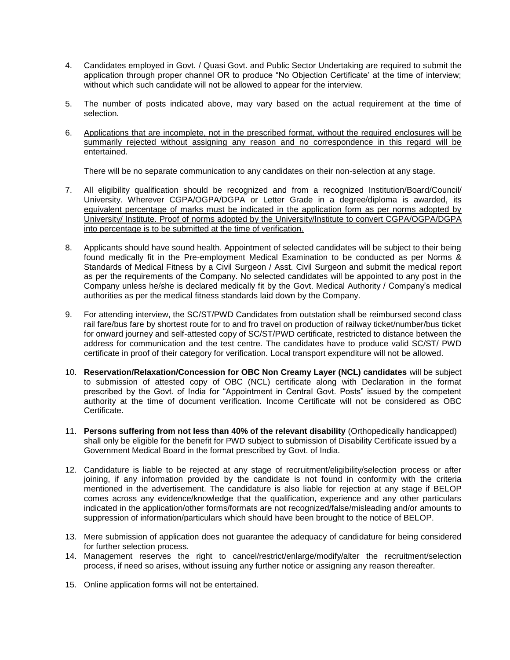- 4. Candidates employed in Govt. / Quasi Govt. and Public Sector Undertaking are required to submit the application through proper channel OR to produce "No Objection Certificate' at the time of interview; without which such candidate will not be allowed to appear for the interview.
- 5. The number of posts indicated above, may vary based on the actual requirement at the time of selection.
- 6. Applications that are incomplete, not in the prescribed format, without the required enclosures will be summarily rejected without assigning any reason and no correspondence in this regard will be entertained.

There will be no separate communication to any candidates on their non-selection at any stage.

- 7. All eligibility qualification should be recognized and from a recognized Institution/Board/Council/ University. Wherever CGPA/OGPA/DGPA or Letter Grade in a degree/diploma is awarded, its equivalent percentage of marks must be indicated in the application form as per norms adopted by University/ Institute. Proof of norms adopted by the University/Institute to convert CGPA/OGPA/DGPA into percentage is to be submitted at the time of verification.
- 8. Applicants should have sound health. Appointment of selected candidates will be subject to their being found medically fit in the Pre-employment Medical Examination to be conducted as per Norms & Standards of Medical Fitness by a Civil Surgeon / Asst. Civil Surgeon and submit the medical report as per the requirements of the Company. No selected candidates will be appointed to any post in the Company unless he/she is declared medically fit by the Govt. Medical Authority / Company's medical authorities as per the medical fitness standards laid down by the Company.
- 9. For attending interview, the SC/ST/PWD Candidates from outstation shall be reimbursed second class rail fare/bus fare by shortest route for to and fro travel on production of railway ticket/number/bus ticket for onward journey and self-attested copy of SC/ST/PWD certificate, restricted to distance between the address for communication and the test centre. The candidates have to produce valid SC/ST/ PWD certificate in proof of their category for verification. Local transport expenditure will not be allowed.
- 10. **Reservation/Relaxation/Concession for OBC Non Creamy Layer (NCL) candidates** will be subject to submission of attested copy of OBC (NCL) certificate along with Declaration in the format prescribed by the Govt. of India for "Appointment in Central Govt. Posts" issued by the competent authority at the time of document verification. Income Certificate will not be considered as OBC Certificate.
- 11. **Persons suffering from not less than 40% of the relevant disability** (Orthopedically handicapped) shall only be eligible for the benefit for PWD subject to submission of Disability Certificate issued by a Government Medical Board in the format prescribed by Govt. of India.
- 12. Candidature is liable to be rejected at any stage of recruitment/eligibility/selection process or after joining, if any information provided by the candidate is not found in conformity with the criteria mentioned in the advertisement. The candidature is also liable for rejection at any stage if BELOP comes across any evidence/knowledge that the qualification, experience and any other particulars indicated in the application/other forms/formats are not recognized/false/misleading and/or amounts to suppression of information/particulars which should have been brought to the notice of BELOP.
- 13. Mere submission of application does not guarantee the adequacy of candidature for being considered for further selection process.
- 14. Management reserves the right to cancel/restrict/enlarge/modify/alter the recruitment/selection process, if need so arises, without issuing any further notice or assigning any reason thereafter.
- 15. Online application forms will not be entertained.